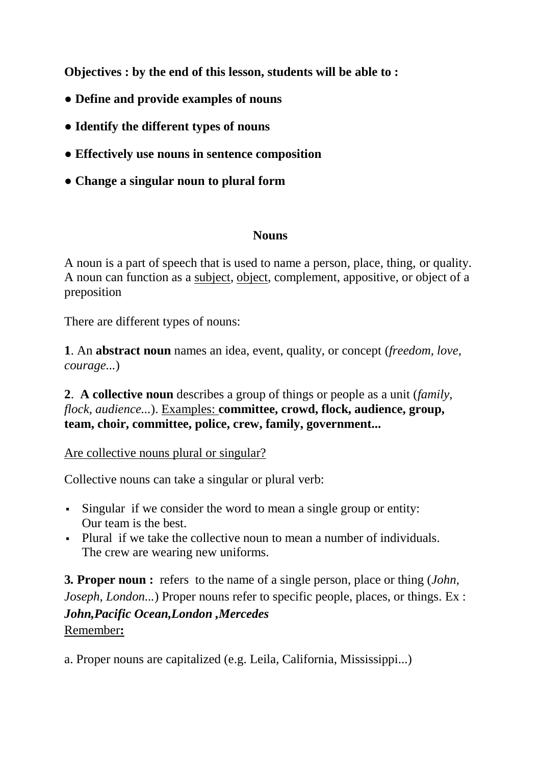**Objectives : by the end of this lesson, students will be able to :**

- **Define and provide examples of nouns**
- **● Identify the different types of nouns**
- **● Effectively use nouns in sentence composition**
- **● Change a singular noun to plural form**

#### **Nouns**

A noun is a part of speech that is used to name a person, place, thing, or quality. A noun can function as a [subject,](https://www.myenglishpages.com/site_php_files/grammar-lesson-subject.php) [object,](https://www.myenglishpages.com/site_php_files/grammar-lesson-direct-indirect-object.php) complement, appositive, or object of a preposition

There are different types of nouns:

**1**. An **abstract noun** names an idea, event, quality, or concept (*freedom, love, courage...*)

**2**. **A collective noun** describes a group of things or people as a unit (*family, flock, audience...*). Examples: **committee, crowd, flock, audience, group, team, choir, committee, police, crew, family, government...**

Are collective nouns plural or singular?

Collective nouns can take a singular or plural verb:

- Singular if we consider the word to mean a single group or entity: Our team is the best.
- Plural if we take the collective noun to mean a number of individuals. The crew are wearing new uniforms.

**3***.* **Proper noun :**refers to the name of a single person, place or thing (*John, Joseph, London...*) Proper nouns refer to specific people, places, or things. Ex : *John,Pacific Ocean,London ,Mercedes* Remember**:**

a. Proper nouns are capitalized (e.g. Leila, California, Mississippi...)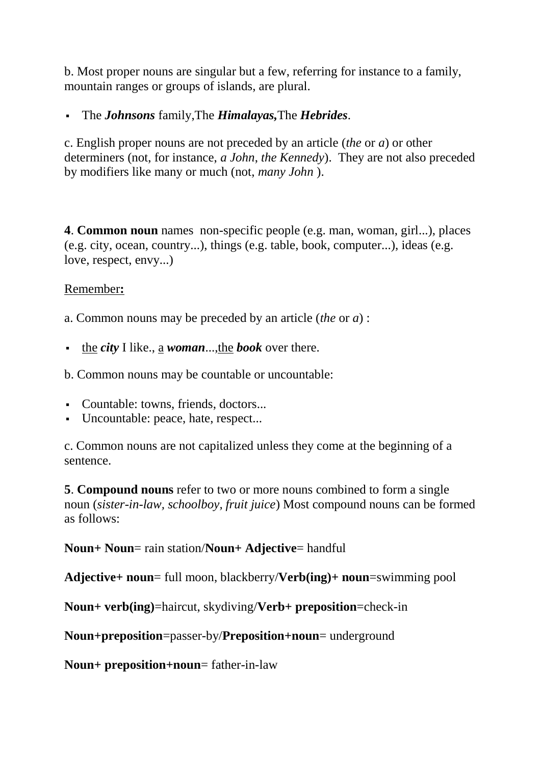b. Most proper nouns are singular but a few, referring for instance to a family, mountain ranges or groups of islands, are plural.

The *Johnsons* family,The *Himalayas,*The *Hebrides*.

c. English proper nouns are not preceded by an article (*the* or *a*) or other determiners (not, for instance, *a John*, *the Kennedy*). They are not also preceded by modifiers like many or much (not, *many John* ).

**4**. **Common noun** names non-specific people (e.g. man, woman, girl...), places (e.g. city, ocean, country...), things (e.g. table, book, computer...), ideas (e.g. love, respect, envy...)

### Remember**:**

a. Common nouns may be preceded by an article (*the* or *a*) :

the *city* I like., a *woman*...,the *book* over there.

b. Common nouns may be countable or uncountable:

- Countable: towns, friends, doctors...
- Uncountable: peace, hate, respect...

c. Common nouns are not capitalized unless they come at the beginning of a sentence.

**5**. **Compound nouns** refer to two or more nouns combined to form a single noun (*sister-in-law, schoolboy, fruit juice*) Most compound nouns can be formed as follows:

**Noun+ Noun**= rain station/**Noun+ Adjective**= handful

**Adjective+ noun**= full moon, blackberry/**Verb(ing)+ noun**=swimming pool

**Noun+ verb(ing)**=haircut, skydiving/**Verb+ preposition**=check-in

**Noun+preposition**=passer-by/**Preposition+noun**= underground

**Noun+ preposition+noun**= father-in-law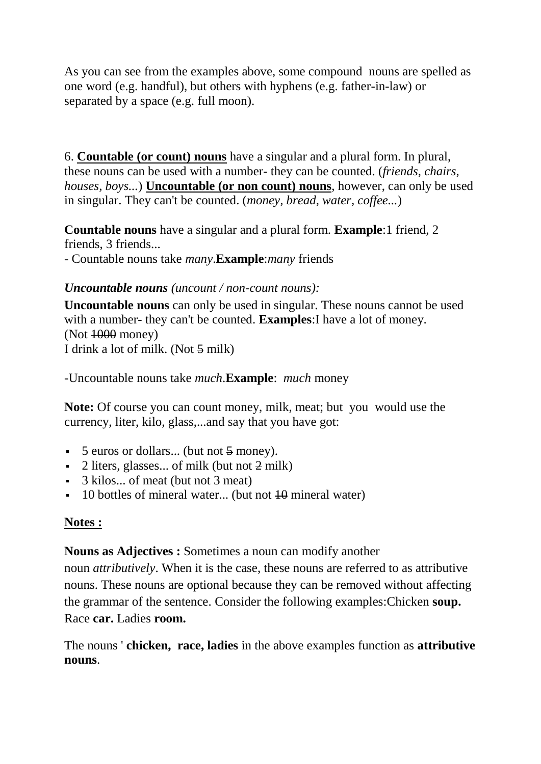As you can see from the examples above, some compound nouns are spelled as one word (e.g. handful), but others with hyphens (e.g. father-in-law) or separated by a space (e.g. full moon).

6. **[Countable \(or count\) nouns](https://www.myenglishpages.com/site_php_files/grammar-lesson-countable-uncountable-nouns.php)** have a singular and a plural form. In plural, these nouns can be used with a number- they can be counted. (*friends, chairs, houses, boys...*) **[Uncountable \(or non count\) nouns](https://www.myenglishpages.com/site_php_files/grammar-lesson-countable-uncountable-nouns.php)**, however, can only be used in singular. They can't be counted. (*money, bread, water, coffee...*)

**Countable nouns** have a singular and a plural form. **Example**:1 friend, 2 friends, 3 friends...

- Countable nouns take *many*.**Example**:*many* friends

## *Uncountable nouns (uncount / non-count nouns):*

**Uncountable nouns** can only be used in singular. These nouns cannot be used with a number- they can't be counted. **Examples**:I have a lot of money. (Not 1000 money) I drink a lot of milk. (Not 5 milk)

-Uncountable nouns take *much*.**Example**: *much* money

**Note:** Of course you can count money, milk, meat; but you would use the currency, liter, kilo, glass,...and say that you have got:

- 5 euros or dollars... (but not 5 money).
- 2 liters, glasses... of milk (but not 2 milk)
- 3 kilos... of meat (but not 3 meat)
- $\blacksquare$  10 bottles of mineral water... (but not  $\boldsymbol{\downarrow}$  mineral water)

## **Notes :**

**Nouns as Adjectives :** Sometimes a noun can modify another

noun *attributively*. When it is the case, these nouns are referred to as attributive nouns. These nouns are optional because they can be removed without affecting the grammar of the sentence. Consider the following examples:Chicken **soup.** Race **car.** Ladies **room.**

The nouns ' **chicken, race, ladies** in the above examples function as **attributive nouns**.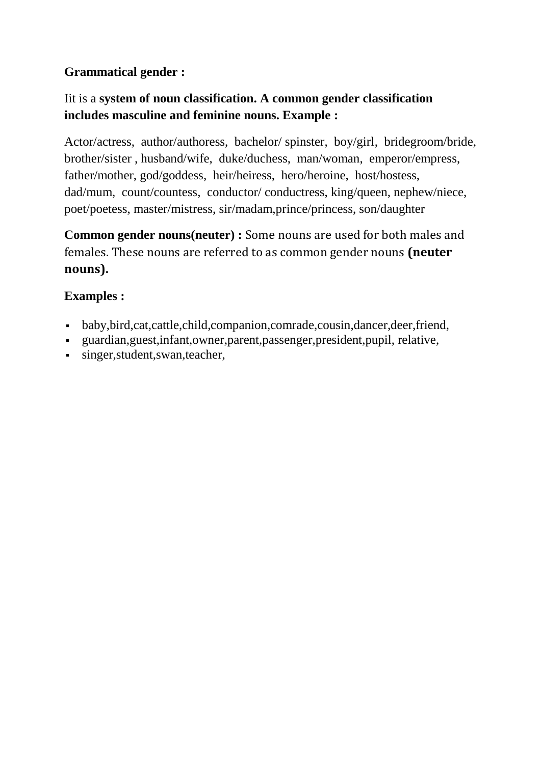# **Grammatical gender :**

# Iit is a **system of [noun](https://www.myenglishpages.com/site_php_files/grammar-lesson-noun.php) classification. A common gender classification includes masculine and feminine nouns. Example :**

Actor/actress, author/authoress, bachelor/ spinster, boy/girl, bridegroom/bride, brother/sister , husband/wife, duke/duchess, man/woman, emperor/empress, father/mother, god/goddess, heir/heiress, hero/heroine, host/hostess, dad/mum, count/countess, conductor/ conductress, king/queen, nephew/niece, poet/poetess, master/mistress, sir/madam,prince/princess, son/daughter

**Common gender nouns(neuter) :** Some nouns are used for both males and females. These nouns are referred to as common gender nouns **(neuter nouns).**

# **Examples :**

- baby,bird,cat,cattle,child,companion,comrade,cousin,dancer,deer,friend,
- guardian,guest,infant,owner,parent,passenger,president,pupil, relative,
- singer,student,swan,teacher,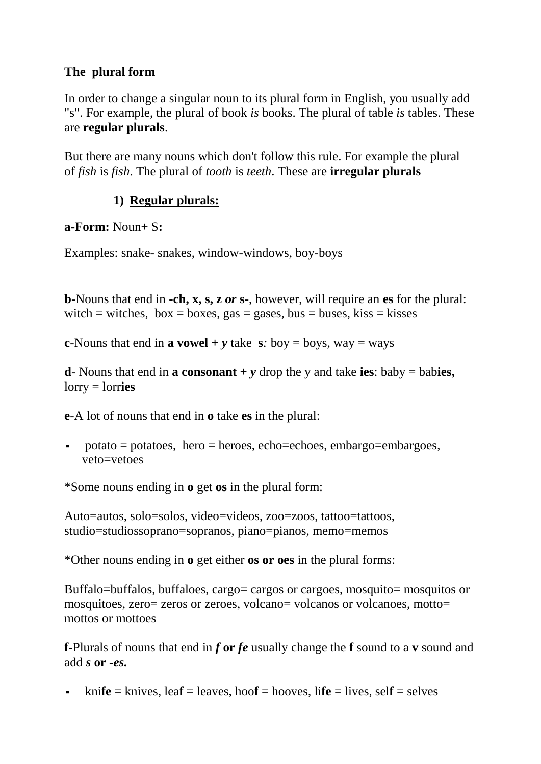## **The plural form**

In order to change a singular noun to its plural form in English, you usually add "s". For example, the plural of book *is* books. The plural of table *is* tables. These are **regular plurals**.

But there are many nouns which don't follow this rule. For example the plural of *fish* is *fish*. The plural of *tooth* is *teeth*. These are **irregular plurals**

# **1) Regular plurals:**

**a-Form:** Noun+ S**:**

Examples: snake- snakes, window-windows, boy-boys

**b**-Nouns that end in **-ch, x, s, z** *or* **s***-*, however, will require an **es** for the plural: witch = witches,  $box = boxes$ , gas = gases, bus = buses, kiss = kisses

**c**-Nouns that end in **a vowel** +  $\bf{v}$  take **s***:* boy = boys, way = ways

**d**- Nouns that end in **a consonant** +  $\nu$  drop the y and take **ies**: baby = babies, lorry = lorr**ies**

**e**-A lot of nouns that end in **o** take **es** in the plural:

 potato = potatoes, hero = heroes, echo=echoes, embargo=embargoes, veto=vetoes

\*Some nouns ending in **o** get **os** in the plural form:

Auto=autos, solo=solos, video=videos, zoo=zoos, tattoo=tattoos, studio=studiossoprano=sopranos, piano=pianos, memo=memos

\*Other nouns ending in **o** get either **os or oes** in the plural forms:

Buffalo=buffalos, buffaloes, cargo= cargos or cargoes, mosquito= mosquitos or mosquitoes, zero= zeros or zeroes, volcano= volcanos or volcanoes, motto= mottos or mottoes

**f**-Plurals of nouns that end in *f* **or** *fe* usually change the **f** sound to a **v** sound and add *s* **or** *-es.*

kni**fe** = knives, lea**f** = leaves, hoo**f** = hooves, life = lives, self = selves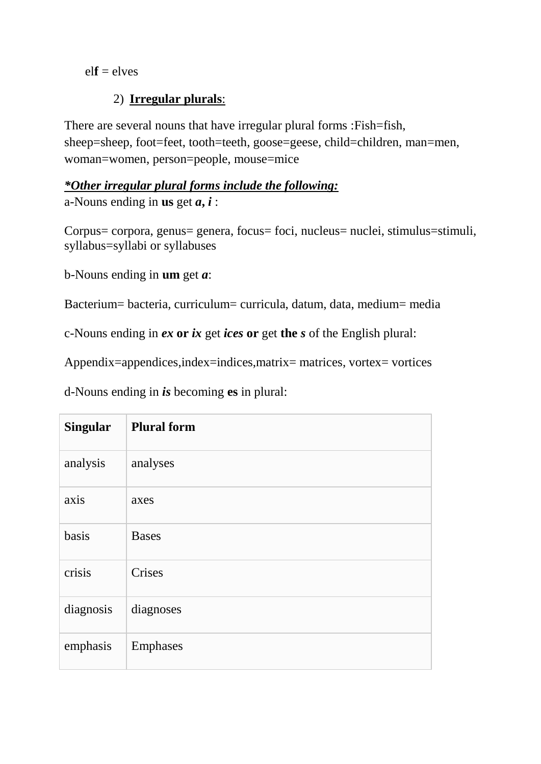#### $elf = elves$

### 2) **Irregular plurals**:

There are several nouns that have irregular plural forms :Fish=fish, sheep=sheep, foot=feet, tooth=teeth, goose=geese, child=children, man=men, woman=women, person=people, mouse=mice

## *\*Other irregular plural forms include the following:* a-Nouns ending in **us** get *a***,** *i* :

Corpus= corpora, genus= genera, focus= foci, nucleus= nuclei, stimulus=stimuli, syllabus=syllabi or syllabuses

b-Nouns ending in **um** get *a*:

Bacterium= bacteria, curriculum= curricula, datum, data, medium= media

c-Nouns ending in *ex* **or** *ix* get *ices* **or** get **the** *s* of the English plural:

Appendix=appendices,index=indices,matrix= matrices, vortex= vortices

d-Nouns ending in *is* becoming **es** in plural:

| <b>Singular</b> | <b>Plural form</b> |
|-----------------|--------------------|
| analysis        | analyses           |
| axis            | axes               |
| basis           | <b>Bases</b>       |
| crisis          | Crises             |
| diagnosis       | diagnoses          |
| emphasis        | Emphases           |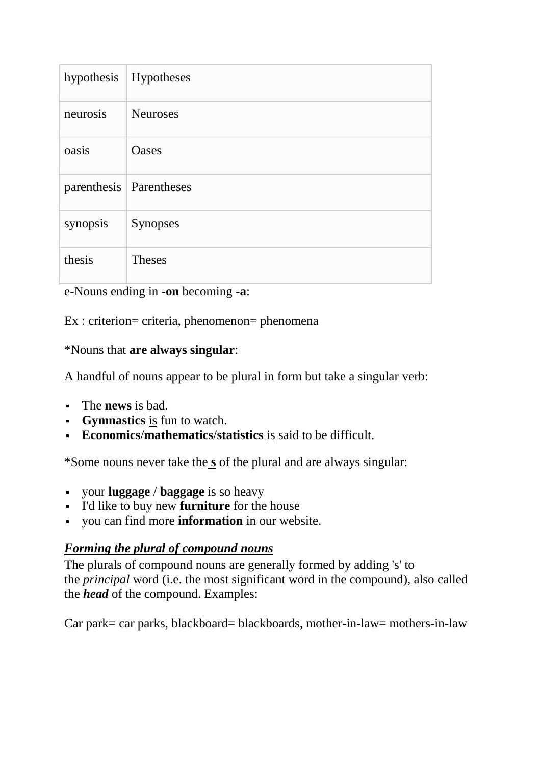| hypothesis | Hypotheses                |
|------------|---------------------------|
| neurosis   | <b>Neuroses</b>           |
| oasis      | <b>Oases</b>              |
|            | parenthesis   Parentheses |
| synopsis   | <b>Synopses</b>           |
| thesis     | <b>Theses</b>             |

e-Nouns ending in -**on** becoming -**a**:

Ex : criterion= criteria, phenomenon= phenomena

\*Nouns that **are always singular**:

A handful of nouns appear to be plural in form but take a singular verb:

- The **news** is bad.
- **Gymnastics** is fun to watch.
- **Economics**/**mathematics**/**statistics** is said to be difficult.

\*Some nouns never take the **s** of the plural and are always singular:

- your **luggage** / **baggage** is so heavy
- I'd like to buy new **furniture** for the house
- you can find more **information** in our website.

## *Forming the plural of compound nouns*

The plurals of compound nouns are generally formed by adding 's' to the *principal* word (i.e. the most significant word in the compound), also called the *head* of the compound. Examples:

Car park= car parks, blackboard= blackboards, mother-in-law= mothers-in-law